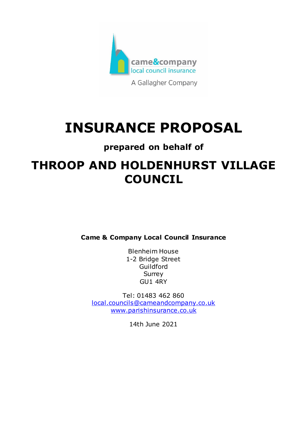

# **INSURANCE PROPOSAL**

## **prepared on behalf of**

## **THROOP AND HOLDENHURST VILLAGE COUNCIL**

**Came & Company Local Council Insurance**

Blenheim House 1-2 Bridge Street Guildford Surrey GU1 4RY

Tel: 01483 462 860 [local.councils@cameandcompany.co.uk](mailto:local.councils@cameandcompany.co.uk) [www.parishinsurance.co.uk](http://www.parishinsurance.co.uk/)

14th June 2021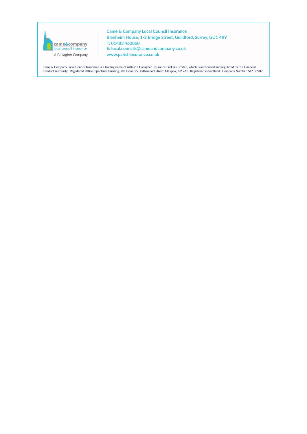

Came & Company Local Council Insurance Blenheim House, 1-2 Bridge Street, Guildford, Surrey, GU1 4RY T: 01483 462860 E: local.councils@cameandcompany.co.uk www.parishinsurance.co.uk

Came & Company Local Council Insurance is a trading name of Arthur J. Gallagher Insurance Brokers Limited, which is authorised and regulated by the Financial<br>Conduct Authority. Registered Office: Spectrum Building, 7th Fl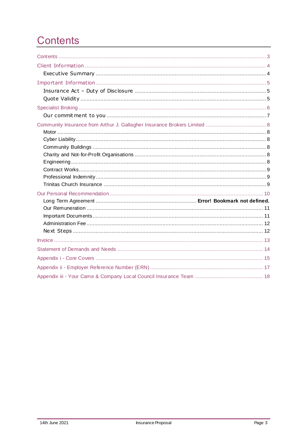## <span id="page-2-0"></span>**Contents**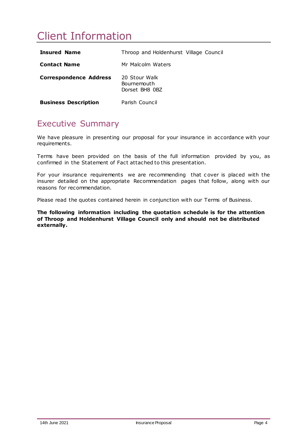## <span id="page-3-0"></span>Client Information

| <b>Insured Name</b>           | Throop and Holdenhurst Village Council         |
|-------------------------------|------------------------------------------------|
| <b>Contact Name</b>           | Mr Malcolm Waters                              |
| <b>Correspondence Address</b> | 20 Stour Walk<br>Bournemouth<br>Dorset BH8 0BZ |
| <b>Business Description</b>   | Parish Council                                 |

### <span id="page-3-1"></span>Executive Summary

We have pleasure in presenting our proposal for your insurance in accordance with your requirements.

Terms have been provided on the basis of the full information provided by you, as confirmed in the Statement of Fact attached to this presentation.

For your insurance requirements we are recommending that c over is placed with the insurer detailed on the appropriate Recommendation pages that follow, along with our reasons for recommendation.

Please read the quotes contained herein in conjunction with our Terms of Business.

**The following information including the quotation schedule is for the attention of Throop and Holdenhurst Village Council only and should not be distributed externally.**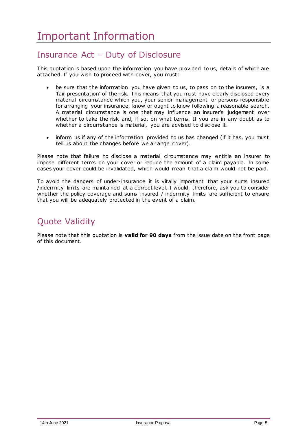### <span id="page-4-1"></span><span id="page-4-0"></span>Insurance Act – Duty of Disclosure

This quotation is based upon the information you have provided to us, details of which are attached. If you wish to proceed with cover, you must:

- be sure that the information you have given to us, to pass on to the insurers, is a 'fair presentation' of the risk. This means that you must have clearly disclosed every material circumstance which you, your senior management or persons responsible for arranging your insurance, know or ought to know following a reasonable search. A material circumstance is one that may influence an insurer's judgement over whether to take the risk and, if so, on what terms. If you are in any doubt as to whether a circumstance is material, you are advised to disclose it.
- inform us if any of the information provided to us has changed (if it has, you must tell us about the changes before we arrange cover).

Please note that failure to disclose a material circumstance may entitle an insurer to impose different terms on your cover or reduce the amount of a claim payable. In some cases your cover could be invalidated, which would mean that a claim would not be paid.

To avoid the dangers of under-insurance it is vitally important that your sums insured /indemnity limits are maintained at a correct level. I would, therefore, ask you to consider whether the policy coverage and sums insured / indemnity limits are sufficient to ensure that you will be adequately protected in the event of a claim.

## <span id="page-4-2"></span>Quote Validity

Please note that this quotation is **valid for 90 days** from the issue date on the front page of this document.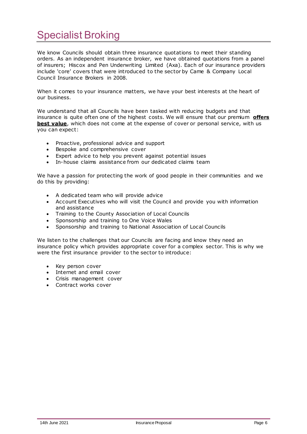## <span id="page-5-0"></span>Specialist Broking

We know Councils should obtain three insurance quotations to meet their standing orders. As an independent insurance broker, we have obtained quotations from a panel of insurers; Hiscox and Pen Underwriting Limited (Axa). Each of our insurance providers include 'core' covers that were introduced to the sector by Came & Company Local Council Insurance Brokers in 2008.

When it comes to your insurance matters, we have your best interests at the heart of our business.

We understand that all Councils have been tasked with reducing budgets and that insurance is quite often one of the highest costs. We will ensure that our premium **offers best value**, which does not come at the expense of cover or personal service, with us you can expect:

- Proactive, professional advice and support
- **Bespoke and comprehensive cover**
- Expert advice to help you prevent against potential issues
- In-house claims assistance from our dedicated claims team

We have a passion for protecting the work of good people in their communities and we do this by providing:

- A dedicated team who will provide advice
- Account Executives who will visit the Council and provide you with information and assistance
- Training to the County Association of Local Councils
- Sponsorship and training to One Voice Wales
- Sponsorship and training to National Association of Local Councils

We listen to the challenges that our Councils are facing and know they need an insurance policy which provides appropriate cover for a complex sector. This is why we were the first insurance provider to the sector to introduce:

- Key person cover
- Internet and email cover
- Crisis management cover
- Contract works cover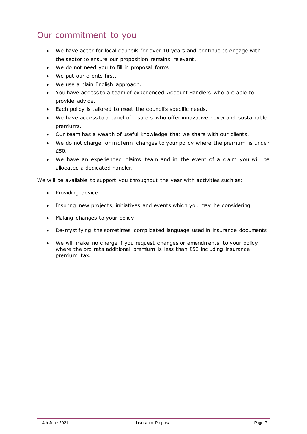### <span id="page-6-0"></span>Our commitment to you

- We have acted for local councils for over 10 years and continue to engage with the sector to ensure our proposition remains relevant.
- We do not need you to fill in proposal forms
- We put our clients first.
- We use a plain English approach.
- You have access to a team of experienced Account Handlers who are able to provide advice.
- Each policy is tailored to meet the council's specific needs.
- We have access to a panel of insurers who offer innovative cover and sustainable premiums.
- Our team has a wealth of useful knowledge that we share with our clients.
- We do not charge for midterm changes to your policy where the premium is under £50.
- We have an experienced claims team and in the event of a claim you will be allocated a dedicated handler.

We will be available to support you throughout the year with activities such as:

- Providing advice
- Insuring new projects, initiatives and events which you may be considering
- Making changes to your policy
- De-mystifying the sometimes complicated language used in insurance documents
- We will make no charge if you request changes or amendments to your policy where the pro rata additional premium is less than £50 including insurance premium tax.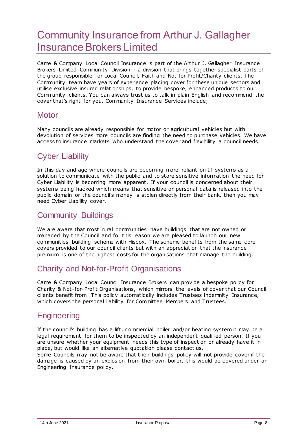## <span id="page-7-0"></span>Community Insurance from Arthur J. Gallagher Insurance Brokers Limited

Came & Company Local Council Insurance is part of the Arthur J. Gallagher Insurance Brokers Limited Community Division - a division that brings together specialist parts of the group responsible for Local Council, Faith and Not for Profit/Charity clients. The Community team have years of experience placing cover for these unique sectors and utilise exclusive insurer relationships, to provide bespoke, enhanced products to our Community clients. You can always trust us to talk in plain English and recommend the cover that's right for you. Community Insurance Services include;

#### <span id="page-7-1"></span>**Motor**

Many councils are already responsible for motor or agricultural vehicles but with devolution of services more councils are finding the need to purchase vehicles. We have access to insurance markets who understand the cover and flexibility a council needs.

### <span id="page-7-2"></span>Cyber Liability

In this day and age where councils are becoming more reliant on IT systems as a solution to communicate with the public and to store sensitive information the need for Cyber Liability is becoming more apparent. If your council is concerned about their systems being hacked which means that sensitive or personal data is released into the public domain or the council's money is stolen directly from their bank, then you may need Cyber Liability cover.

### <span id="page-7-3"></span>Community Buildings

We are aware that most rural communities have buildings that are not owned or managed by the Council and for this reason we are pleased to launch our new communities building scheme with Hiscox. The scheme benefits from the same core covers provided to our council clients but with an appreciation that the insurance premium is one of the highest costs for the organisations that manage the building.

### <span id="page-7-4"></span>Charity and Not-for-Profit Organisations

Came & Company Local Council Insurance Brokers can provide a bespoke policy for Charity & Not-for-Profit Organisations, which mirrors the levels of cover that our Council clients benefit from. This policy automatically includes Trustees Indemnity Insurance, which covers the personal liability for Committee Members and Trustees.

#### <span id="page-7-5"></span>**Engineering**

If the council's building has a lift, commercial boiler and/or heating system it may be a legal requirement for them to be inspected by an independent qualified person. If you are unsure whether your equipment needs this type of inspection or already have it in place, but would like an alternative quotation please contact us.

Some Councils may not be aware that their buildings policy will not provide cover if the damage is caused by an explosion from their own boiler, this would be covered under an Engineering Insurance policy.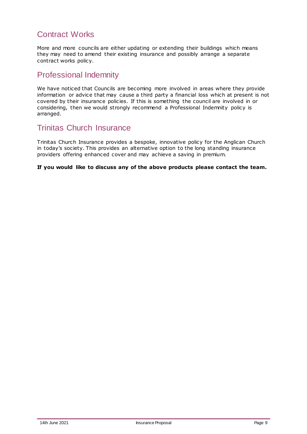### <span id="page-8-0"></span>Contract Works

More and more councils are either updating or extending their buildings which means they may need to amend their existing insurance and possibly arrange a separate contract works policy.

#### <span id="page-8-1"></span>Professional Indemnity

We have noticed that Councils are becoming more involved in areas where they provide information or advice that may cause a third party a financial loss which at present is not covered by their insurance policies. If this is something the council are involved in or considering, then we would strongly recommend a Professional Indemnity policy is arranged.

#### <span id="page-8-2"></span>Trinitas Church Insurance

Trinitas Church Insurance provides a bespoke, innovative policy for the Anglican Church in today's society. This provides an alternative option to the long standing insurance providers offering enhanced cover and may achieve a saving in premium.

**If you would like to discuss any of the above products please contact the team.**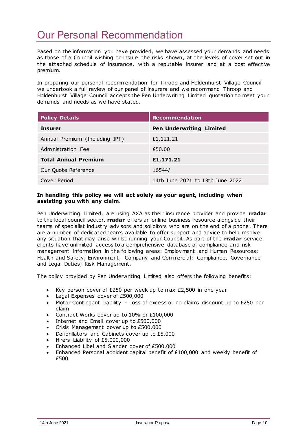## <span id="page-9-0"></span>Our Personal Recommendation

Based on the information you have provided, we have assessed your demands and needs as those of a Council wishing to insure the risks shown, at the levels of cover set out in the attached schedule of insurance, with a reputable insurer and at a cost effective premium.

In preparing our personal recommendation for Throop and Holdenhurst Village Council we undertook a full review of our panel of insurers and we recommend Throop and Holdenhurst Village Council accepts the Pen Underwriting Limited quotation to meet your demands and needs as we have stated.

| <b>Policy Details</b>          | <b>Recommendation</b>            |
|--------------------------------|----------------------------------|
| Insurer                        | <b>Pen Underwriting Limited</b>  |
| Annual Premium (Including IPT) | £1,121.21                        |
| Administration Fee             | £50.00                           |
| <b>Total Annual Premium</b>    | £1,171.21                        |
| Our Quote Reference            | 16544/                           |
| Cover Period                   | 14th June 2021 to 13th June 2022 |

#### **In handling this policy we will act solely as your agent, including when assisting you with any claim.**

Pen Underwriting Limited, are using AXA as their insurance provider and provide **rradar** to the local council sector. **rradar** offers an online business resource alongside their teams of specialist industry advisors and solicitors who are on the end of a phone. There are a number of dedicated teams available to offer support and advice to help resolve any situation that may arise whilst running your Council. As part of the **rradar** service clients have unlimited access to a comprehensive database of compliance and risk management information in the following areas: Employment and Human Resources; Health and Safety; Environment; Company and Commercial; Compliance, Governance and Legal Duties; Risk Management.

The policy provided by Pen Underwriting Limited also offers the following benefits:

- Key person cover of £250 per week up to max £2,500 in one year
- Legal Expenses cover of £500,000
- Motor Contingent Liability  $-$  Loss of excess or no claims discount up to £250 per claim
- Contract Works cover up to 10% or £100,000
- Internet and Email cover up to £500,000
- Crisis Management cover up to £500,000
- Defibrillators and Cabinets cover up to £5,000
- Hirers Liability of £5,000,000
- Enhanced Libel and Slander cover of £500,000
- Enhanced Personal accident capital benefit of £100,000 and weekly benefit of £500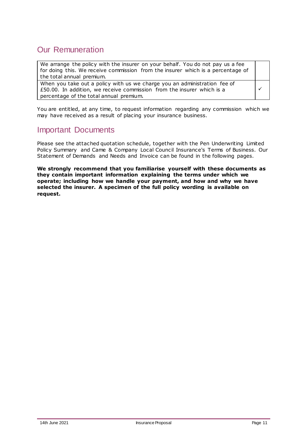### <span id="page-10-0"></span>Our Remuneration

We arrange the policy with the insurer on your behalf. You do not pay us a fee for doing this. We receive commission from the insurer which is a percentage of the total annual premium.

When you take out a policy with us we charge you an administration fee of £50.00. In addition, we receive commission from the insurer which is a percentage of the total annual premium.

You are entitled, at any time, to request information regarding any commission which we may have received as a result of placing your insurance business.

#### <span id="page-10-1"></span>Important Documents

Please see the attached quotation schedule, together with the Pen Underwriting Limited Policy Summary and Came & Company Local Council Insurance's Terms of Business. Our Statement of Demands and Needs and Invoice can be found in the following pages.

**We strongly recommend that you familiarise yourself with these documents as they contain important information explaining the terms under which we operate; including how we handle your payment, and how and why we have selected the insurer. A specimen of the full policy wording is available on request.**

 $\checkmark$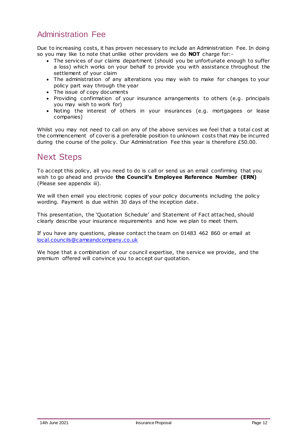### <span id="page-11-0"></span>Administration Fee

Due to increasing costs, it has proven necessary to include an Administration Fee. In doing so you may like to note that unlike other providers we do **NOT** charge for:-

- The services of our claims department (should you be unfortunate enough to suffer a loss) which works on your behalf to provide you with assistance throughout the settlement of your claim
- The administration of any alterations you may wish to make for changes to your policy part way through the year
- The issue of copy documents
- Providing confirmation of your insurance arrangements to others (e.g. principals you may wish to work for)
- Noting the interest of others in your insurances (e.g. mortgagees or lease companies)

Whilst you may not need to call on any of the above services we feel that a total cost at the commencement of cover is a preferable position to unknown costs that may be incurred during the course of the policy. Our Administration Fee this year is therefore £50.00.

### <span id="page-11-1"></span>Next Steps

To accept this policy, all you need to do is call or send us an email confirming that you wish to go ahead and provide **the Council's Employee Reference Number (ERN)**  (Please see appendix iii).

We will then email you electronic copies of your policy documents including the policy wording. Payment is due within 30 days of the inception date.

This presentation, the 'Quotation Schedule' and Statement of Fact attached, should clearly describe your insurance requirements and how we plan to meet them.

If you have any questions, please contact the team on 01483 462 860 or email at [local.councils@cameandcompany.co.uk](mailto:local.councils@cameandcompany.co.uk)

We hope that a combination of our council expertise, the service we provide, and the premium offered will convince you to accept our quotation.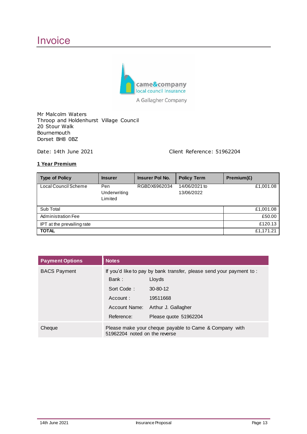## <span id="page-12-0"></span>**Invoice**



A Gallagher Company

Mr Malcolm Waters Throop and Holdenhurst Village Council 20 Stour Walk Bournemouth Dorset BH8 0BZ

Date: 14th June 2021 Client Reference: 51962204

#### **1 Year Premium**

| <b>Type of Policy</b>      | <b>Insurer</b>                 | Insurer Pol No. | <b>Policy Term</b>          | Premium(E) |
|----------------------------|--------------------------------|-----------------|-----------------------------|------------|
| Local Council Scheme       | Pen<br>Underwriting<br>Limited | RGBDX6962034    | 14/06/2021 to<br>13/06/2022 | £1,001.08  |
| Sub Total                  |                                |                 |                             | £1,001.08  |
| Administration Fee         |                                |                 |                             | £50.00     |
| IPT at the prevailing rate |                                |                 |                             | £120.13    |
| <b>TOTAL</b>               |                                |                 |                             | £1,171.21  |

| <b>Payment Options</b> | <b>Notes</b>                                                                            |                       |  |
|------------------------|-----------------------------------------------------------------------------------------|-----------------------|--|
| <b>BACS Payment</b>    | If you'd like to pay by bank transfer, please send your payment to:                     |                       |  |
|                        | Bank:                                                                                   | Lloyds                |  |
|                        | Sort Code:                                                                              | 30-80-12              |  |
|                        | Account:                                                                                | 19511668              |  |
|                        | Account Name:                                                                           | Arthur J. Gallagher   |  |
|                        | Reference:                                                                              | Please quote 51962204 |  |
| Cheque                 | Please make your cheque payable to Came & Company with<br>51962204 noted on the reverse |                       |  |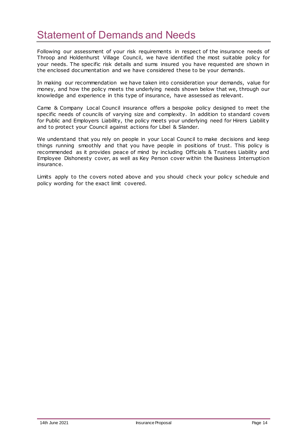## <span id="page-13-0"></span>Statement of Demands and Needs

Following our assessment of your risk requirements in respect of the insurance needs of Throop and Holdenhurst Village Council, we have identified the most suitable policy for your needs. The specific risk details and sums insured you have requested are shown in the enclosed documentation and we have considered these to be your demands.

In making our recommendation we have taken into consideration your demands, value for money, and how the policy meets the underlying needs shown below that we, through our knowledge and experience in this type of insurance, have assessed as relevant.

Came & Company Local Council insurance offers a bespoke policy designed to meet the specific needs of councils of varying size and complexity. In addition to standard covers for Public and Employers Liability, the policy meets your underlying need for Hirers Liability and to protect your Council against actions for Libel & Slander.

We understand that you rely on people in your Local Council to make decisions and keep things running smoothly and that you have people in positions of trust. This policy is recommended as it provides peace of mind by including Officials & Trustees Liability and Employee Dishonesty cover, as well as Key Person cover within the Business Interruption insurance.

Limits apply to the covers noted above and you should check your policy schedule and policy wording for the exact limit covered.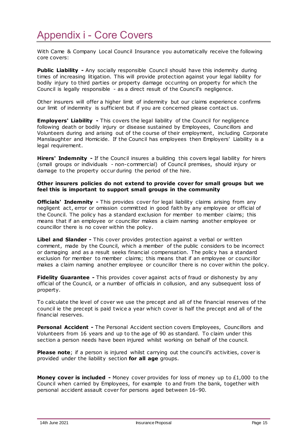## <span id="page-14-0"></span>Appendix i - Core Covers

With Came & Company Local Council Insurance you automatically receive the following core covers:

**Public Liability -** Any socially responsible Council should have this indemnity during times of increasing litigation. This will provide protection against your legal liability for bodily injury to third parties or property damage occurring on property for which the Council is legally responsible - as a direct result of the Council's negligence.

Other insurers will offer a higher limit of indemnity but our claims experience confirms our limit of indemnity is sufficient but if you are concerned please contact us.

**Employers' Liability -** This covers the legal liability of the Council for negligence following death or bodily injury or disease sustained by Employees, Councillors and Volunteers during and arising out of the course of their employment, including Corporate Manslaughter and Homicide. If the Council has employees then Employers' Liability is a legal requirement.

**Hirers' Indemnity -** If the Council insures a building this covers legal liability for hirers (small groups or individuals - non-commercial) of Council premises, should injury or damage to the property occur during the period of the hire.

#### **Other insurers policies do not extend to provide cover for small groups but we feel this is important to support small groups in the community**

**Officials' Indemnity -** This provides cover for legal liability claims arising from any negligent act, error or omission committed in good faith by any employee or official of the Council. The policy has a standard exclusion for member to member claims; this means that if an employee or councillor makes a claim naming another employee or councillor there is no cover within the policy.

**Libel and Slander -** This cover provides protection against a verbal or written comment, made by the Council, which a member of the public considers to be incorrect or damaging and as a result seeks financial compensation. The policy has a standard exclusion for member to member claims; this means that if an employee or councillor makes a claim naming another employee or councillor there is no cover within the policy.

**Fidelity Guarantee -** This provides cover against acts of fraud or dishonesty by any official of the Council, or a number of officials in collusion, and any subsequent loss of property.

To calculate the level of cover we use the precept and all of the financial reserves of the council ie the precept is paid twice a year which cover is half the precept and all of the financial reserves.

**Personal Accident -** The Personal Accident section covers Employees, Councillors and Volunteers from 16 years and up to the age of 90 as standard. To claim under this section a person needs have been injured whilst working on behalf of the council.

**Please note**; if a person is injured whilst carrying out the council's activities, cover is provided under the liability section **for all age** groups.

**Money cover is included -** Money cover provides for loss of money up to £1,000 to the Council when carried by Employees, for example to and from the bank, together with personal accident assault cover for persons aged between 16-90.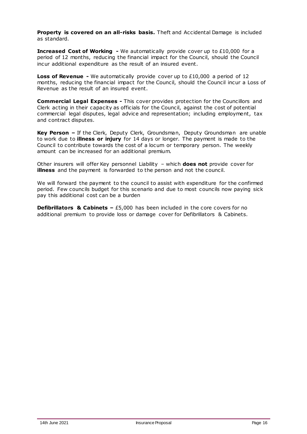**Property is covered on an all-risks basis.** Theft and Accidental Damage is included as standard.

**Increased Cost of Working -** We automatically provide cover up to £10,000 for a period of 12 months, reducing the financial impact for the Council, should the Council incur additional expenditure as the result of an insured event.

**Loss of Revenue -** We automatically provide cover up to £10,000 a period of 12 months, reducing the financial impact for the Council, should the Council incur a Loss of Revenue as the result of an insured event.

**Commercial Legal Expenses -** This cover provides protection for the Councillors and Clerk acting in their capacity as officials for the Council, against the cost of potential commercial legal disputes, legal advice and representation; including employment, tax and contract disputes.

**Key Person –** If the Clerk, Deputy Clerk, Groundsman, Deputy Groundsman are unable to work due to **illness or injury** for 14 days or longer. The payment is made to the Council to contribute towards the cost of a locum or temporary person. The weekly amount can be increased for an additional premium.

Other insurers will offer Key personnel Liability – which **does not** provide cover for **illness** and the payment is forwarded to the person and not the council.

We will forward the payment to the council to assist with expenditure for the confirmed period. Few councils budget for this scenario and due to most councils now paying sick pay this additional cost can be a burden

**Defibrillators & Cabinets –** £5,000 has been included in the core covers for no additional premium to provide loss or damage cover for Defibrillators & Cabinets.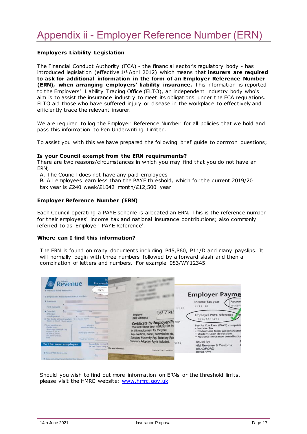#### <span id="page-16-0"></span>**Employers Liability Legislation**

The Financial Conduct Authority (FCA) - the financial sector's regulatory body - has introduced legislation (effective 1<sup>st</sup> April 2012) which means that **insurers are required to ask for additional information in the form of an Employer Reference Number (ERN), when arranging employers' liability insurance.** This information is reported to the Employers' Liability Tracing Office (ELTO), an independent industry body who's aim is to assist the insurance industry to meet its obligations under the FCA regulations. ELTO aid those who have suffered injury or disease in the workplace to effectively and efficiently trace the relevant insurer.

We are required to log the Employer Reference Number for all policies that we hold and pass this information to Pen Underwriting Limited.

To assist you with this we have prepared the following brief guide to common questions;

#### **Is your Council exempt from the ERN requirements?**

There are two reasons/circumstances in which you may find that you do not have an ERN;

A. The Council does not have any paid employees

B. All employees earn less than the PAYE threshold, which for the current 2019/20 tax year is £240 week/£1042 month/£12,500 year

#### **Employer Reference Number (ERN)**

Each Council operating a PAYE scheme is allocated an ERN. This is the reference number for their employees' income tax and national insurance contributions; also commonly referred to as 'Employer PAYE Reference'.

#### **Where can I find this information?**

The ERN is found on many documents including P45,P60, P11/D and many payslips. It will normally begin with three numbers followed by a forward slash and then a combination of letters and numbers. For example 083/WY12345.

| Revenue<br>For comple<br>Office-summer<br>875<br>1 Previous PAYE Reference<br>2 Employee's National Insurance number<br>3 Scename<br>First name(s)                                                                                                                                                                                                                                                                           |                          | NO12                                                                                                                                                                                                                                           | <b>Employer Payme</b><br>Income Tax year<br>Accour<br>846PV<br>$2011 - 12$                                                                                                                                                 |
|------------------------------------------------------------------------------------------------------------------------------------------------------------------------------------------------------------------------------------------------------------------------------------------------------------------------------------------------------------------------------------------------------------------------------|--------------------------|------------------------------------------------------------------------------------------------------------------------------------------------------------------------------------------------------------------------------------------------|----------------------------------------------------------------------------------------------------------------------------------------------------------------------------------------------------------------------------|
| 4 Duty left<br><b>STAND</b><br><b>SALES</b><br>previous.<br>employment<br>Corte<br>6. Tax Code at leaving date.<br>Willin Dig Jack (1968)).<br>Hirek 2 or Marth 7 days spokes<br><b>SECURE</b><br>7 Last entries on<br>Week av<br>Deductions.<br>martily runnings<br>Working Sheet (PET)<br>If there is go VC<br>Total pay to date g<br>air Javin G. Harry<br>will be no artifies.<br><b>Rational</b><br>Trial tax to date p |                          | 362 / M12<br>Employer<br><b>PAYE</b> reference<br>Certificate by Employer/Pa 901<br>in this employment for the year.<br>Any overtime, bonus, commission etc,<br>Statutory Maternity Pay, Statutory Pate<br>Statutory Adoption Pay is included. | <b>Employer PAYE reference</b><br>846/AA36471<br>Pay As You Earn (PAYE) comprisin<br>· Income Tax<br>· Deductions from subcontractor<br>· Student Loan deductions<br>· National Insurance contribution<br><b>Issued by</b> |
| To the new employer<br>Complete itemi B.<br>of the form only t<br><b>California Institution</b><br><b>B. New PAYE Reference</b><br>$\overline{\Omega}$<br>9 Date employment stated on figures).                                                                                                                                                                                                                              | <b>Of most discharge</b> | 3121<br><b>Printed &amp; Advis PRIMERS</b>                                                                                                                                                                                                     | <b>HM Revenue &amp; Customs</b><br><b>BRADFORD</b><br>BD98 1YY                                                                                                                                                             |

Should you wish to find out more information on ERNs or the threshold limits, please visit the HMRC website: [www.hmrc.gov.uk](http://www.hmrc.gov.uk/)